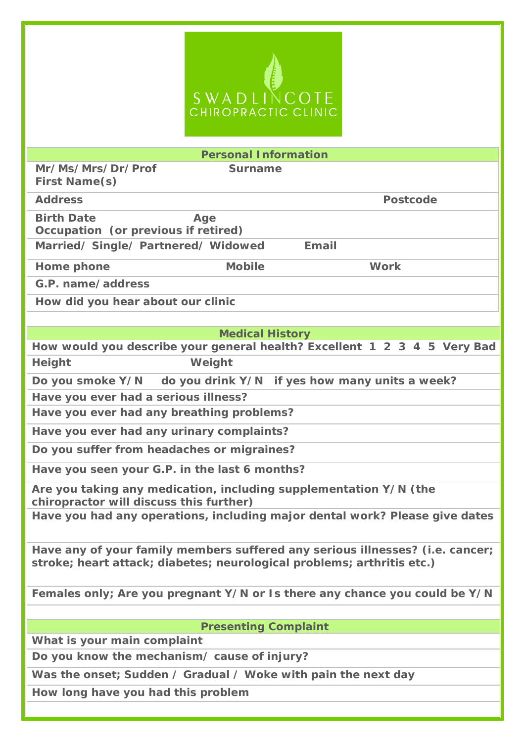## S W A D LINCOTE<br>CHIROPRACTIC CLINIC

| <b>Personal Information</b>                                                                                                                             |
|---------------------------------------------------------------------------------------------------------------------------------------------------------|
| Mr/Ms/Mrs/Dr/Prof<br><b>Surname</b><br><b>First Name(s)</b>                                                                                             |
| <b>Address</b><br><b>Postcode</b>                                                                                                                       |
| <b>Birth Date</b><br>Age<br>Occupation (or previous if retired)                                                                                         |
| Married/ Single/ Partnered/ Widowed<br><b>Email</b>                                                                                                     |
| <b>Mobile</b><br><b>Work</b><br>Home phone                                                                                                              |
| G.P. name/address                                                                                                                                       |
| How did you hear about our clinic                                                                                                                       |
|                                                                                                                                                         |
| <b>Medical History</b>                                                                                                                                  |
| How would you describe your general health? Excellent 1 2 3 4 5 Very Bad                                                                                |
| Weight<br><b>Height</b>                                                                                                                                 |
| Do you smoke Y/N do you drink Y/N if yes how many units a week?                                                                                         |
| Have you ever had a serious illness?                                                                                                                    |
| Have you ever had any breathing problems?                                                                                                               |
| Have you ever had any urinary complaints?                                                                                                               |
| Do you suffer from headaches or migraines?                                                                                                              |
| Have you seen your G.P. in the last 6 months?                                                                                                           |
| Are you taking any medication, including supplementation Y/N (the<br>chiropractor will discuss this further)                                            |
| Have you had any operations, including major dental work? Please give dates                                                                             |
| Have any of your family members suffered any serious illnesses? (i.e. cancer;<br>stroke; heart attack; diabetes; neurological problems; arthritis etc.) |
| Females only; Are you pregnant Y/N or Is there any chance you could be Y/N                                                                              |
|                                                                                                                                                         |
| <b>Presenting Complaint</b>                                                                                                                             |
| What is your main complaint                                                                                                                             |
| Do you know the mechanism/ cause of injury?                                                                                                             |
| Was the onset; Sudden / Gradual / Woke with pain the next day                                                                                           |
| How long have you had this problem                                                                                                                      |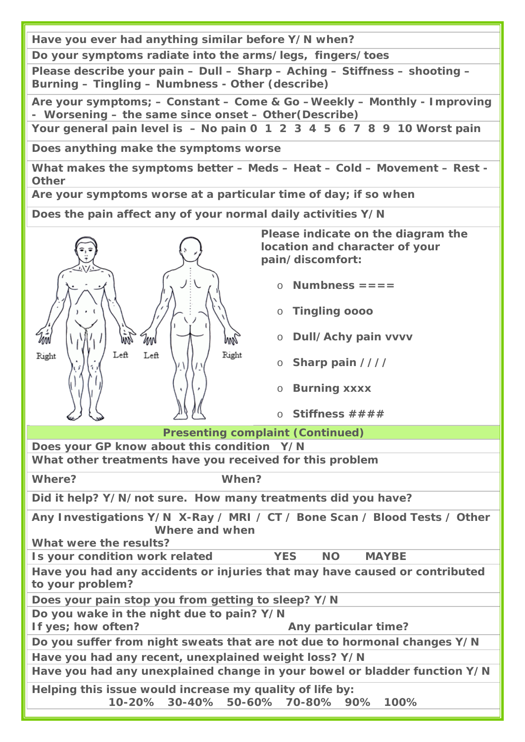**Have you ever had anything similar before Y/N when?**

**Do your symptoms radiate into the arms/legs, fingers/toes**

**Please describe your pain – Dull – Sharp – Aching – Stiffness – shooting – Burning – Tingling – Numbness - Other (describe)**

**Are your symptoms; – Constant – Come & Go –Weekly – Monthly - Improving - Worsening – the same since onset – Other(Describe)**

**Your general pain level is – No pain 0 1 2 3 4 5 6 7 8 9 10 Worst pain**

**Does anything make the symptoms worse** 

**What makes the symptoms better – Meds – Heat – Cold – Movement – Rest - Other** 

**Are your symptoms worse at a particular time of day; if so when**

**Does the pain affect any of your normal daily activities Y/N**



**Please indicate on the diagram the location and character of your pain/discomfort:**

- o **Numbness ====**
- o **Tingling oooo**
- o **Dull/Achy pain vvvv**
- o **Sharp pain ////**
- o **Burning xxxx**
- o **Stiffness ####**

**Presenting complaint (Continued)**

**Does your GP know about this condition Y/N What other treatments have you received for this problem**

**Where? When?** 

**Did it help? Y/N/not sure. How many treatments did you have?**

**Any Investigations Y/N X-Ray / MRI / CT / Bone Scan / Blood Tests / Other Where and when**

**What were the results?**

**Is your condition work related YES NO MAYBE**

**Have you had any accidents or injuries that may have caused or contributed to your problem?**

**Does your pain stop you from getting to sleep? Y/N**

**Do you wake in the night due to pain? Y/N**

**If yes; how often?** Any particular time?

**Do you suffer from night sweats that are not due to hormonal changes Y/N**

**Have you had any recent, unexplained weight loss? Y/N**

**Have you had any unexplained change in your bowel or bladder function Y/N**

**Helping this issue would increase my quality of life by:** 

**10-20% 30-40% 50-60% 70-80% 90% 100%**